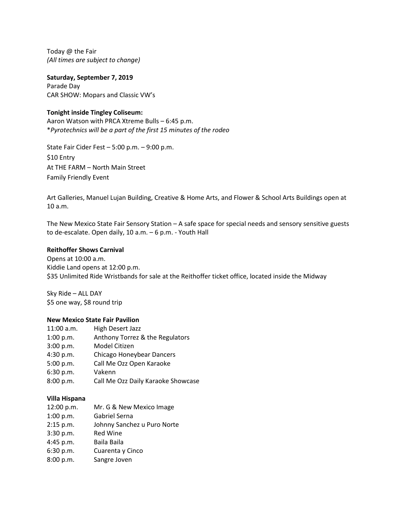Today @ the Fair *(All times are subject to change)*

**Saturday, September 7, 2019** Parade Day CAR SHOW: Mopars and Classic VW's

# **Tonight inside Tingley Coliseum:**

Aaron Watson with PRCA Xtreme Bulls – 6:45 p.m. \**Pyrotechnics will be a part of the first 15 minutes of the rodeo*

State Fair Cider Fest – 5:00 p.m. – 9:00 p.m. \$10 Entry At THE FARM – North Main Street Family Friendly Event

Art Galleries, Manuel Lujan Building, Creative & Home Arts, and Flower & School Arts Buildings open at 10 a.m.

The New Mexico State Fair Sensory Station – A safe space for special needs and sensory sensitive guests to de-escalate. Open daily, 10 a.m. – 6 p.m. - Youth Hall

#### **Reithoffer Shows Carnival**

Opens at 10:00 a.m. Kiddie Land opens at 12:00 p.m. \$35 Unlimited Ride Wristbands for sale at the Reithoffer ticket office, located inside the Midway

Sky Ride – ALL DAY \$5 one way, \$8 round trip

#### **New Mexico State Fair Pavilion**

| 11:00 a.m. | High Desert Jazz                   |
|------------|------------------------------------|
| 1:00 p.m.  | Anthony Torrez & the Regulators    |
| 3:00 p.m.  | Model Citizen                      |
| 4:30 p.m.  | Chicago Honeybear Dancers          |
| 5:00 p.m.  | Call Me Ozz Open Karaoke           |
| 6:30 p.m.  | Vakenn                             |
| 8:00 p.m.  | Call Me Ozz Daily Karaoke Showcase |

#### **Villa Hispana**

| 12:00 p.m. | Mr. G & New Mexico Image    |
|------------|-----------------------------|
| 1:00 p.m.  | Gabriel Serna               |
| 2:15 p.m.  | Johnny Sanchez u Puro Norte |
| 3:30 p.m.  | <b>Red Wine</b>             |
| 4:45 p.m.  | Baila Baila                 |
| 6:30 p.m.  | Cuarenta y Cinco            |
| 8:00 p.m.  | Sangre Joven                |
|            |                             |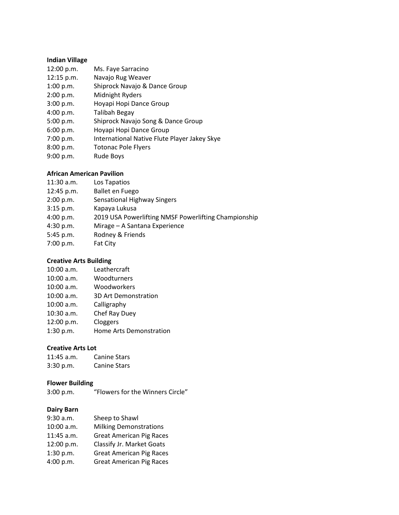### **Indian Village**

- 12:00 p.m. Ms. Faye Sarracino
- 12:15 p.m. Navajo Rug Weaver
- 1:00 p.m. Shiprock Navajo & Dance Group
- 2:00 p.m. Midnight Ryders
- 3:00 p.m. Hoyapi Hopi Dance Group
- 4:00 p.m. Talibah Begay
- 5:00 p.m. Shiprock Navajo Song & Dance Group
- 6:00 p.m. Hoyapi Hopi Dance Group
- 7:00 p.m. International Native Flute Player Jakey Skye
- 8:00 p.m. Totonac Pole Flyers
- 9:00 p.m. Rude Boys

### **African American Pavilion**

- 11:30 a.m. Los Tapatios
- 12:45 p.m. Ballet en Fuego
- 2:00 p.m. Sensational Highway Singers
- 3:15 p.m. Kapaya Lukusa
- 4:00 p.m. 2019 USA Powerlifting NMSF Powerlifting Championship
- 4:30 p.m. Mirage A Santana Experience
- 5:45 p.m. Rodney & Friends
- 7:00 p.m. Fat City

## **Creative Arts Building**

| 10:00 a.m.   | Leathercraft            |
|--------------|-------------------------|
| 10:00 a.m.   | Woodturners             |
| 10:00 a.m.   | Woodworkers             |
| 10:00 a.m.   | 3D Art Demonstration    |
| 10:00 a.m.   | Calligraphy             |
| $10:30$ a.m. | Chef Ray Duey           |
| 12:00 p.m.   | Cloggers                |
| 1:30 p.m.    | Home Arts Demonstration |

#### **Creative Arts Lot**

| $11:45$ a.m. | <b>Canine Stars</b> |
|--------------|---------------------|
| 3:30 p.m.    | <b>Canine Stars</b> |

#### **Flower Building**

3:00 p.m. "Flowers for the Winners Circle"

#### **Dairy Barn**

| 9:30 a.m.  | Sheep to Shawl                  |
|------------|---------------------------------|
| 10:00 a.m. | <b>Milking Demonstrations</b>   |
| 11:45 a.m. | <b>Great American Pig Races</b> |
| 12:00 p.m. | Classify Jr. Market Goats       |
| 1:30 p.m.  | <b>Great American Pig Races</b> |
| 4:00 p.m.  | <b>Great American Pig Races</b> |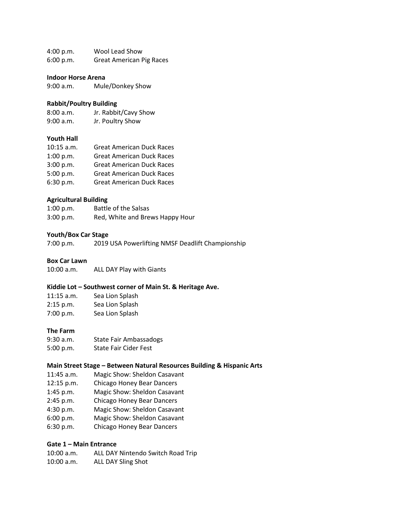4:00 p.m. Wool Lead Show 6:00 p.m. Great American Pig Races

#### **Indoor Horse Arena**

9:00 a.m. Mule/Donkey Show

## **Rabbit/Poultry Building**

| 8:00 a.m. | Jr. Rabbit/Cavy Show |
|-----------|----------------------|
| 9:00 a.m. | Jr. Poultry Show     |

### **Youth Hall**

| $10:15$ a.m. | <b>Great American Duck Races</b> |
|--------------|----------------------------------|
| 1:00 p.m.    | <b>Great American Duck Races</b> |
| 3:00 p.m.    | <b>Great American Duck Races</b> |
| 5:00 p.m.    | <b>Great American Duck Races</b> |
| 6:30 p.m.    | <b>Great American Duck Races</b> |

#### **Agricultural Building**

| 1:00 p.m. | <b>Battle of the Salsas</b>     |
|-----------|---------------------------------|
| 3:00 p.m. | Red, White and Brews Happy Hour |

#### **Youth/Box Car Stage**

| 7:00 p.m. | 2019 USA Powerlifting NMSF Deadlift Championship |
|-----------|--------------------------------------------------|
|-----------|--------------------------------------------------|

### **Box Car Lawn**

10:00 a.m. ALL DAY Play with Giants

### **Kiddie Lot – Southwest corner of Main St. & Heritage Ave.**

| $11:15$ a.m. | Sea Lion Splash |
|--------------|-----------------|
| 2:15 p.m.    | Sea Lion Splash |
| 7:00 p.m.    | Sea Lion Splash |

## **The Farm**

| 9:30 a.m. | <b>State Fair Ambassadogs</b> |
|-----------|-------------------------------|
| 5:00 p.m. | <b>State Fair Cider Fest</b>  |

## **Main Street Stage – Between Natural Resources Building & Hispanic Arts**

- 11:45 a.m. Magic Show: Sheldon Casavant
- 12:15 p.m. Chicago Honey Bear Dancers
- 1:45 p.m. Magic Show: Sheldon Casavant
- 2:45 p.m. Chicago Honey Bear Dancers
- 4:30 p.m. Magic Show: Sheldon Casavant
- 6:00 p.m. Magic Show: Sheldon Casavant
- 6:30 p.m. Chicago Honey Bear Dancers

## **Gate 1 – Main Entrance**

| $10:00$ a.m. | ALL DAY Nintendo Switch Road Trip |
|--------------|-----------------------------------|
| $10:00$ a.m. | ALL DAY Sling Shot                |